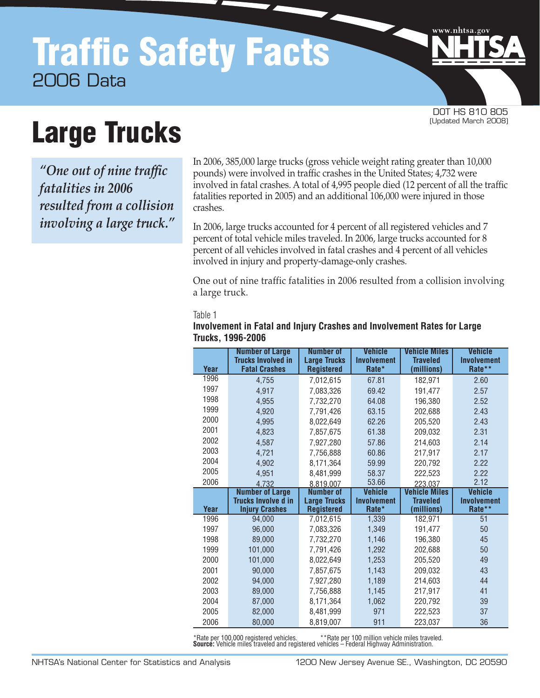# Traffic Safety Facts 2006 Data

DOT HS 810 805<br>(Updated March 2008)

www.nhtsa.go

# **Large Trucks**

*"One out of nine traffic fatalities in 2006 resulted from a collision involving a large truck."*

In 2006, 385,000 large trucks (gross vehicle weight rating greater than 10,000 pounds) were involved in traffic crashes in the United States; 4,732 were involved in fatal crashes. A total of 4,995 people died (12 percent of all the traffic fatalities reported in 2005) and an additional 106,000 were injured in those crashes.

In 2006, large trucks accounted for 4 percent of all registered vehicles and 7 percent of total vehicle miles traveled. In 2006, large trucks accounted for 8 percent of all vehicles involved in fatal crashes and 4 percent of all vehicles involved in injury and property-damage-only crashes.

One out of nine traffic fatalities in 2006 resulted from a collision involving a large truck.

Table 1

|              | <b>Number of Large</b><br><b>Trucks Involved in</b> | <b>Number of</b><br><b>Large Trucks</b> | <b>Vehicle</b><br><b>Involvement</b> | <b>Vehicle Miles</b><br><b>Traveled</b> | <b>Vehicle</b><br><b>Involvement</b> |
|--------------|-----------------------------------------------------|-----------------------------------------|--------------------------------------|-----------------------------------------|--------------------------------------|
| Year         | <b>Fatal Crashes</b>                                | <b>Registered</b>                       | Rate*                                | (millions)                              | Rate**                               |
| 1996         | 4,755                                               | 7,012,615                               | 67.81                                | 182.971                                 | 2.60                                 |
| 1997         | 4,917                                               | 7,083,326                               | 69.42                                | 191.477                                 | 2.57                                 |
| 1998         | 4,955                                               | 7,732,270                               | 64.08                                | 196,380                                 | 2.52                                 |
| 1999         | 4,920                                               | 7,791,426                               | 63.15                                | 202,688                                 | 2.43                                 |
| 2000         | 4,995                                               | 8,022,649                               | 62.26                                | 205,520                                 | 2.43                                 |
| 2001         | 4,823                                               | 7,857,675                               | 61.38                                | 209,032                                 | 2.31                                 |
| 2002         | 4,587                                               | 7,927,280                               | 57.86                                | 214,603                                 | 2.14                                 |
| 2003         | 4,721                                               | 7,756,888                               | 60.86                                | 217,917                                 | 2.17                                 |
| 2004         | 4,902                                               | 8,171,364                               | 59.99                                | 220,792                                 | 2.22                                 |
| 2005         | 4,951                                               | 8,481,999                               | 58.37                                | 222,523                                 | 2.22                                 |
| 2006         | 4.732                                               | 8,819,007                               | 53.66                                | 223.037                                 | 2.12                                 |
|              |                                                     | <b>Number of</b>                        |                                      |                                         |                                      |
|              | <b>Number of Large</b>                              |                                         | <b>Vehicle</b>                       | <b>Vehicle Miles</b>                    | <b>Vehicle</b>                       |
|              | <b>Trucks Involve d in</b>                          | <b>Large Trucks</b>                     | <b>Involvement</b>                   | <b>Traveled</b>                         | <b>Involvement</b>                   |
| Year<br>1996 | <b>Injury Crashes</b><br>94.000                     | <b>Registered</b><br>7,012,615          | Rate*<br>1,339                       | (millions)<br>182.971                   | Rate**<br>51                         |
| 1997         | 96.000                                              | 7,083,326                               | 1,349                                | 191,477                                 | 50                                   |
| 1998         | 89,000                                              | 7,732,270                               | 1,146                                | 196.380                                 | 45                                   |
| 1999         | 101,000                                             | 7,791,426                               | 1,292                                | 202,688                                 | 50                                   |
| 2000         | 101,000                                             | 8,022,649                               | 1,253                                | 205,520                                 | 49                                   |
| 2001         | 90.000                                              | 7,857,675                               | 1,143                                | 209.032                                 | 43                                   |
| 2002         | 94,000                                              | 7,927,280                               | 1,189                                | 214,603                                 | 44                                   |
| 2003         | 89,000                                              | 7,756,888                               | 1,145                                | 217.917                                 | 41                                   |
| 2004         | 87,000                                              | 8,171,364                               | 1,062                                | 220,792                                 | 39                                   |
| 2005         | 82,000                                              | 8,481,999                               | 971                                  | 222.523                                 | 37                                   |

# **Involvement in Fatal and Injury Crashes and Involvement Rates for Large Trucks, 1996-2006**

\*Rate per 100,000 registered vehicles. \*\*Rate per 100 million vehicle miles traveled. **Source:** Vehicle miles traveled and registered vehicles – Federal Highway Administration.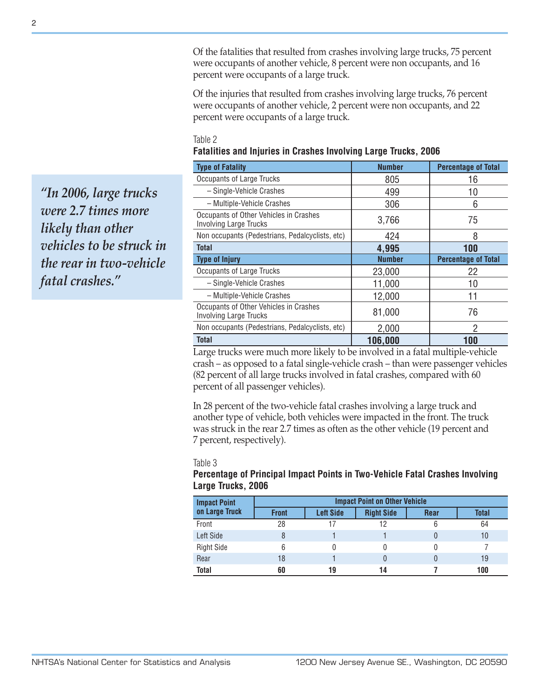Of the fatalities that resulted from crashes involving large trucks, 75 percent were occupants of another vehicle, 8 percent were non occupants, and 16 percent were occupants of a large truck.

Of the injuries that resulted from crashes involving large trucks, 76 percent were occupants of another vehicle, 2 percent were non occupants, and 22 percent were occupants of a large truck.

#### Table 2

|  | Fatalities and Injuries in Crashes Involving Large Trucks, 2006 |  |  |  |  |  |  |
|--|-----------------------------------------------------------------|--|--|--|--|--|--|
|--|-----------------------------------------------------------------|--|--|--|--|--|--|

| <b>Type of Fatality</b>                                                 | <b>Number</b> | <b>Percentage of Total</b> |
|-------------------------------------------------------------------------|---------------|----------------------------|
| <b>Occupants of Large Trucks</b>                                        | 805           | 16                         |
| - Single-Vehicle Crashes                                                | 499           | 10                         |
| - Multiple-Vehicle Crashes                                              | 306           | 6                          |
| Occupants of Other Vehicles in Crashes<br><b>Involving Large Trucks</b> | 3,766         | 75                         |
| Non occupants (Pedestrians, Pedalcyclists, etc)                         | 424           | 8                          |
| Total                                                                   | 4,995         | 100                        |
| <b>Type of Injury</b>                                                   | <b>Number</b> | <b>Percentage of Total</b> |
| Occupants of Large Trucks                                               | 23,000        | 22                         |
| - Single-Vehicle Crashes                                                | 11,000        | 10                         |
| - Multiple-Vehicle Crashes                                              | 12,000        | 11                         |
| Occupants of Other Vehicles in Crashes<br><b>Involving Large Trucks</b> | 81,000        | 76                         |
| Non occupants (Pedestrians, Pedalcyclists, etc)                         | 2,000         | 2                          |
| <b>Total</b>                                                            | 106,000       | 100                        |

Large trucks were much more likely to be involved in a fatal multiple-vehicle crash – as opposed to a fatal single-vehicle crash – than were passenger vehicles (82 percent of all large trucks involved in fatal crashes, compared with 60 percent of all passenger vehicles).

In 28 percent of the two-vehicle fatal crashes involving a large truck and another type of vehicle, both vehicles were impacted in the front. The truck was struck in the rear 2.7 times as often as the other vehicle (19 percent and 7 percent, respectively).

#### Table 3

#### **Percentage of Principal Impact Points in Two-Vehicle Fatal Crashes Involving Large Trucks, 2006**

| <b>Impact Point</b> | <b>Impact Point on Other Vehicle</b> |                  |                   |             |              |  |
|---------------------|--------------------------------------|------------------|-------------------|-------------|--------------|--|
| on Large Truck      | <b>Front</b>                         | <b>Left Side</b> | <b>Right Side</b> | <b>Rear</b> | <b>Total</b> |  |
| Front               | 28                                   |                  |                   |             | 64           |  |
| Left Side           |                                      |                  |                   |             | 10           |  |
| <b>Right Side</b>   |                                      |                  |                   |             |              |  |
| Rear                | 18                                   |                  |                   |             | 19           |  |
| <b>Total</b>        | 60                                   | 19               | 14                |             | 100          |  |

*"In 2006, large trucks were 2.7 times more likely than other vehicles to be struck in the rear in two-vehicle fatal crashes."*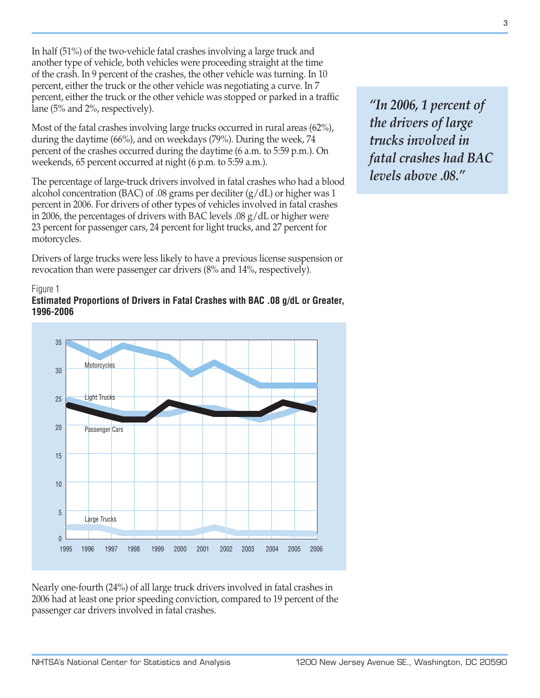In half (51%) of the two-vehicle fatal crashes involving a large truck and another type of vehicle, both vehicles were proceeding straight at the time of the crash. In 9 percent of the crashes, the other vehicle was turning. In 10 percent, either the truck or the other vehicle was negotiating a curve. In 7 percent, either the truck or the other vehicle was stopped or parked in a traffic lane (5% and 2%, respectively).

Most of the fatal crashes involving large trucks occurred in rural areas (62%), during the daytime (66%), and on weekdays (79%). During the week, 74 percent of the crashes occurred during the daytime (6 a.m. to 5:59 p.m.). On weekends, 65 percent occurred at night (6 p.m. to 5:59 a.m.).

The percentage of large-truck drivers involved in fatal crashes who had a blood alcohol concentration (BAC) of .08 grams per deciliter (g/dL) or higher was 1 percent in 2006. For drivers of other types of vehicles involved in fatal crashes in 2006, the percentages of drivers with BAC levels .08 g/dL or higher were 23 percent for passenger cars, 24 percent for light trucks, and 27 percent for motorcycles.

Drivers of large trucks were less likely to have a previous license suspension or revocation than were passenger car drivers (8% and 14%, respectively).

#### Figure 1 **Estimated Proportions of Drivers in Fatal Crashes with BAC .08 g/dL or Greater, 1996-2006**



Nearly one-fourth (24%) of all large truck drivers involved in fatal crashes in 2006 had at least one prior speeding conviction, compared to 19 percent of the passenger car drivers involved in fatal crashes.

*"In 2006, 1 percent of the drivers of large trucks involved in fatal crashes had BAC levels above .08."*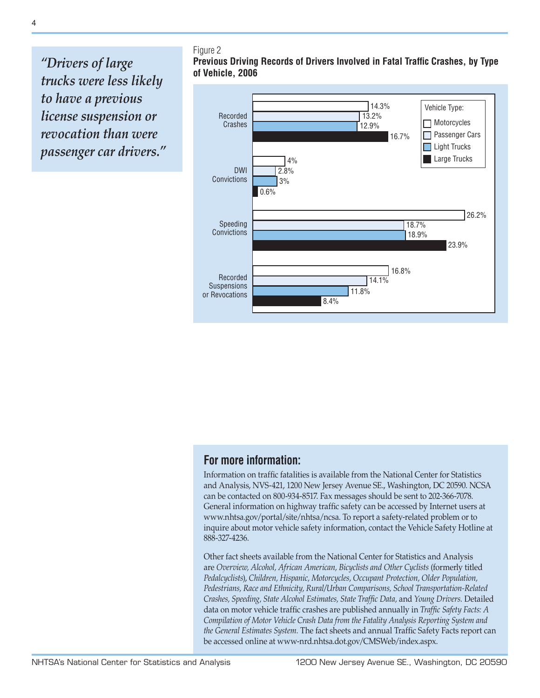*"Drivers of large trucks were less likely to have a previous license suspension or revocation than were passenger car drivers."*

#### Figure 2 **Previous Driving Records of Drivers Involved in Fatal Traffic Crashes, by Type of Vehicle, 2006**



## **For more information:**

Information on traffic fatalities is available from the National Center for Statistics and Analysis, NVS-421, 1200 New Jersey Avenue SE., Washington, DC 20590. NCSA can be contacted on 800-934-8517. Fax messages should be sent to 202-366-7078. General information on highway traffic safety can be accessed by Internet users at [www.nhtsa.gov/portal/site/nhtsa/ncsa](http://www.nhtsa.gov/portal/site/nhtsa/ncsa). To report a safety-related problem or to inquire about motor vehicle safety information, contact the Vehicle Safety Hotline at 888-327-4236.

Other fact sheets available from the National Center for Statistics and Analysis are *Overview, Alcohol, African American, Bicyclists and Other Cyclists* (formerly titled *Pedalcyclists*), *Children, Hispanic, Motorcycles, Occupant Protection, Older Population, Pedestrians, Race and Ethnicity, Rural/Urban Comparisons, School Transportation-Related Crashes, Speeding, State Alcohol Estimates, State Traffic Data,* and *Young Drivers.* Detailed data on motor vehicle traffic crashes are published annually in *Traffic Safety Facts: A Compilation of Motor Vehicle Crash Data from the Fatality Analysis Reporting System and the General Estimates System.* The fact sheets and annual Traffic Safety Facts report can be accessed online at [www-nrd.nhtsa.dot.gov/CMSWeb/index.aspx.](http://www-nrd.nhtsa.dot.gov/CMSWeb/index.aspx)